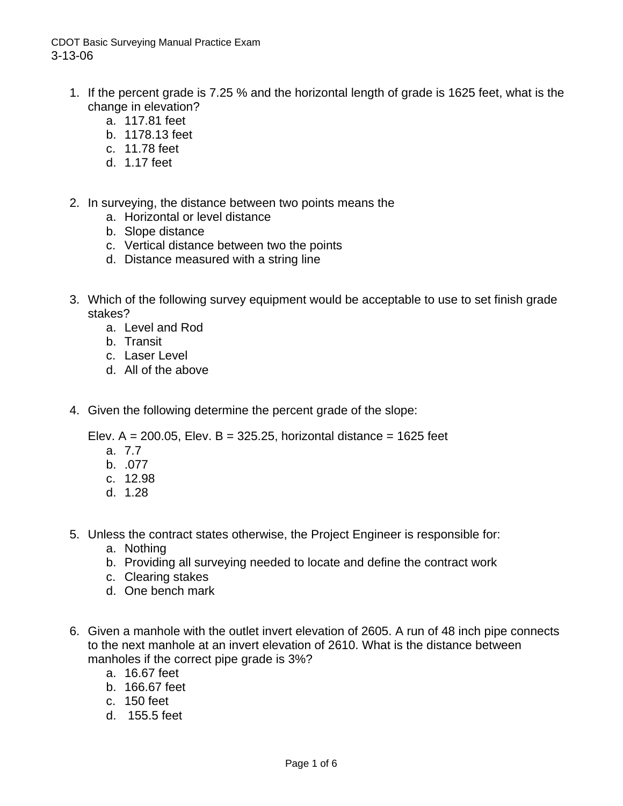CDOT Basic Surveying Manual Practice Exam 3-13-06

- 1. If the percent grade is 7.25 % and the horizontal length of grade is 1625 feet, what is the change in elevation?
	- a. 117.81 feet
	- b. 1178.13 feet
	- c. 11.78 feet
	- d. 1.17 feet
- 2. In surveying, the distance between two points means the
	- a. Horizontal or level distance
	- b. Slope distance
	- c. Vertical distance between two the points
	- d. Distance measured with a string line
- 3. Which of the following survey equipment would be acceptable to use to set finish grade stakes?
	- a. Level and Rod
	- b. Transit
	- c. Laser Level
	- d. All of the above
- 4. Given the following determine the percent grade of the slope:

Elev.  $A = 200.05$ , Elev. B = 325.25, horizontal distance = 1625 feet

- a. 7.7
- b. .077
- c. 12.98
- d. 1.28
- 5. Unless the contract states otherwise, the Project Engineer is responsible for:
	- a. Nothing
	- b. Providing all surveying needed to locate and define the contract work
	- c. Clearing stakes
	- d. One bench mark
- 6. Given a manhole with the outlet invert elevation of 2605. A run of 48 inch pipe connects to the next manhole at an invert elevation of 2610. What is the distance between manholes if the correct pipe grade is 3%?
	- a. 16.67 feet
	- b. 166.67 feet
	- c. 150 feet
	- d. 155.5 feet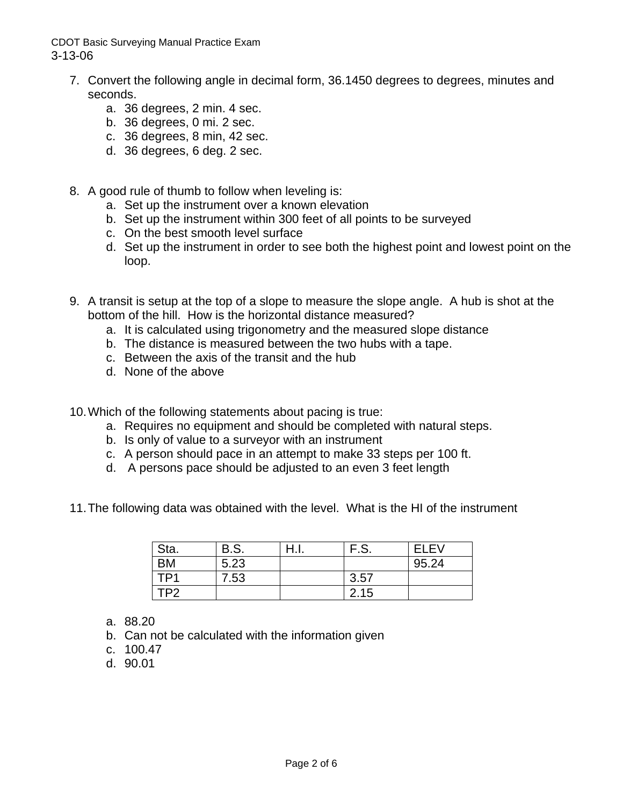CDOT Basic Surveying Manual Practice Exam 3-13-06

- 7. Convert the following angle in decimal form, 36.1450 degrees to degrees, minutes and seconds.
	- a. 36 degrees, 2 min. 4 sec.
	- b. 36 degrees, 0 mi. 2 sec.
	- c. 36 degrees, 8 min, 42 sec.
	- d. 36 degrees, 6 deg. 2 sec.
- 8. A good rule of thumb to follow when leveling is:
	- a. Set up the instrument over a known elevation
	- b. Set up the instrument within 300 feet of all points to be surveyed
	- c. On the best smooth level surface
	- d. Set up the instrument in order to see both the highest point and lowest point on the loop.
- 9. A transit is setup at the top of a slope to measure the slope angle. A hub is shot at the bottom of the hill. How is the horizontal distance measured?
	- a. It is calculated using trigonometry and the measured slope distance
	- b. The distance is measured between the two hubs with a tape.
	- c. Between the axis of the transit and the hub
	- d. None of the above

10. Which of the following statements about pacing is true:

- a. Requires no equipment and should be completed with natural steps.
- b. Is only of value to a surveyor with an instrument
- c. A person should pace in an attempt to make 33 steps per 100 ft.
- d. A persons pace should be adjusted to an even 3 feet length
- 11. The following data was obtained with the level. What is the HI of the instrument

| Sta.      | <b>B.S.</b> | F.S. | FI F\ |
|-----------|-------------|------|-------|
| <b>BM</b> | 5.23        |      | 95.24 |
| ⊓P1       | 7.53        | 3.57 |       |
| מם־       |             | 2.15 |       |

- a. 88.20
- b. Can not be calculated with the information given
- c. 100.47
- d. 90.01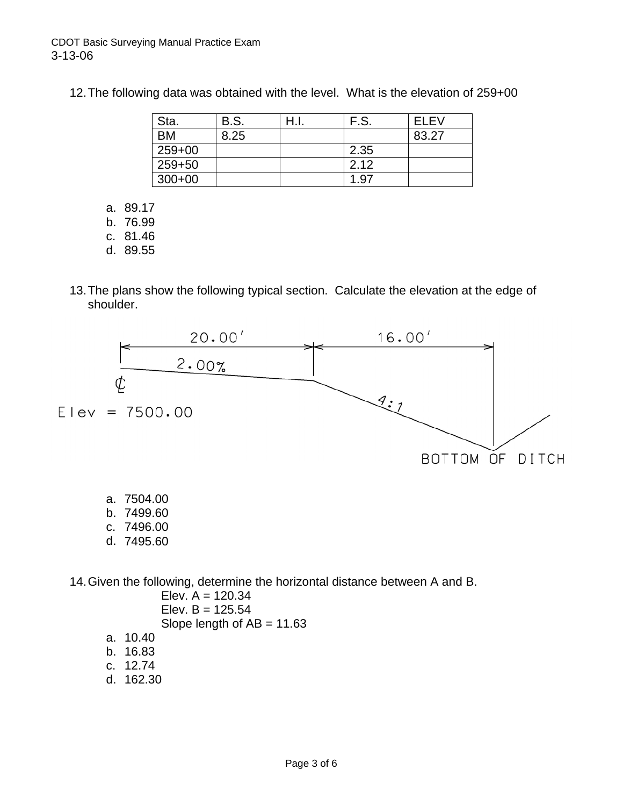12. The following data was obtained with the level. What is the elevation of 259+00

| Sta.       | <b>B.S.</b> | Ч.І. | F.S. | EL EV |
|------------|-------------|------|------|-------|
| <b>BM</b>  | 8.25        |      |      | 83.27 |
| $259+00$   |             |      | 2.35 |       |
| $259 + 50$ |             |      | 2.12 |       |
| $300+00$   |             |      | 1.97 |       |

a. 89.17

b. 76.99

c. 81.46

d. 89.55

13. The plans show the following typical section. Calculate the elevation at the edge of shoulder.



- a. 7504.00
- b. 7499.60
- c. 7496.00
- d. 7495.60

14. Given the following, determine the horizontal distance between A and B.

| Elev. $A = 120.34$           |  |
|------------------------------|--|
| Elev. $B = 125.54$           |  |
| Slope length of $AB = 11.63$ |  |

- a. 10.40
- b. 16.83
- c. 12.74
- d. 162.30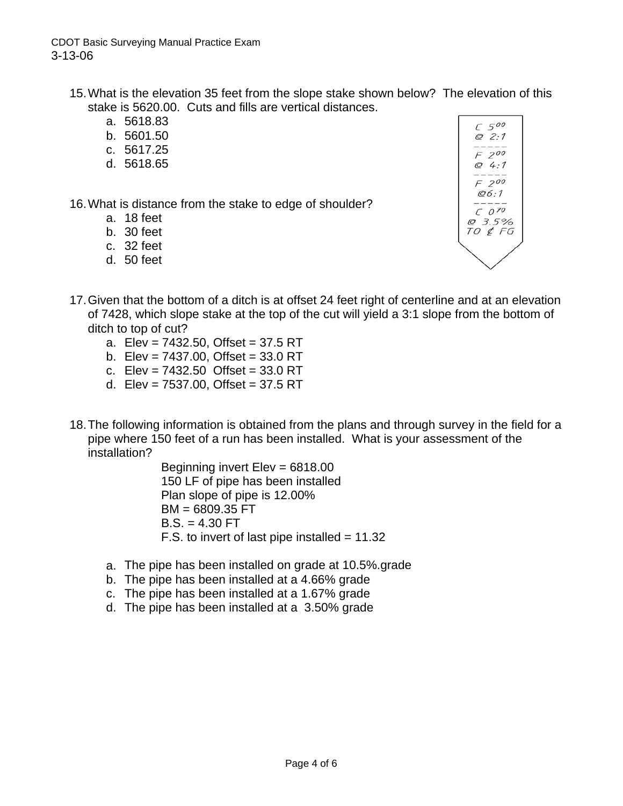- 15. What is the elevation 35 feet from the slope stake shown below? The elevation of this stake is 5620.00. Cuts and fills are vertical distances.
	- a. 5618.83
	- b. 5601.50
	- c. 5617.25
	- d. 5618.65

16. What is distance from the stake to edge of shoulder?

- a. 18 feet
- b. 30 feet
- c. 32 feet
- d. 50 feet



- 17. Given that the bottom of a ditch is at offset 24 feet right of centerline and at an elevation of 7428, which slope stake at the top of the cut will yield a 3:1 slope from the bottom of ditch to top of cut?
	- a. Elev =  $7432.50$ , Offset =  $37.5$  RT
	- b. Elev =  $7437.00$ , Offset =  $33.0$  RT
	- c. Elev =  $7432.50$  Offset =  $33.0$  RT
	- d. Elev =  $7537.00$ , Offset =  $37.5$  RT
- 18. The following information is obtained from the plans and through survey in the field for a pipe where 150 feet of a run has been installed. What is your assessment of the installation?

Beginning invert Elev = 6818.00 150 LF of pipe has been installed Plan slope of pipe is 12.00% BM = 6809.35 FT  $B.S. = 4.30 FT$ F.S. to invert of last pipe installed  $= 11.32$ 

- a. The pipe has been installed on grade at 10.5%.grade
- b. The pipe has been installed at a 4.66% grade
- c. The pipe has been installed at a 1.67% grade
- d. The pipe has been installed at a 3.50% grade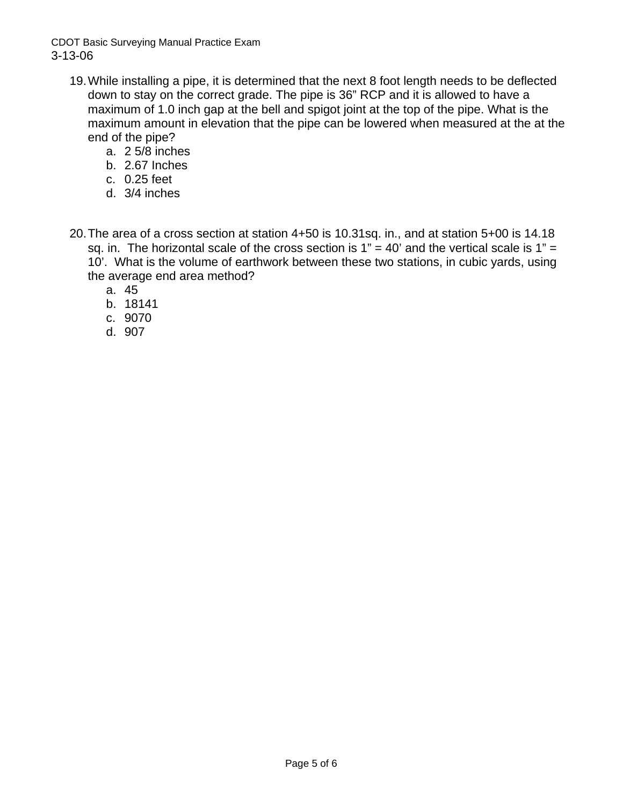CDOT Basic Surveying Manual Practice Exam 3-13-06

- 19. While installing a pipe, it is determined that the next 8 foot length needs to be deflected down to stay on the correct grade. The pipe is 36" RCP and it is allowed to have a maximum of 1.0 inch gap at the bell and spigot joint at the top of the pipe. What is the maximum amount in elevation that the pipe can be lowered when measured at the at the end of the pipe?
	- a. 2 5/8 inches
	- b. 2.67 Inches
	- c. 0.25 feet
	- d. 3/4 inches
- 20. The area of a cross section at station 4+50 is 10.31sq. in., and at station 5+00 is 14.18 sq. in. The horizontal scale of the cross section is  $1" = 40'$  and the vertical scale is  $1" =$ 10'. What is the volume of earthwork between these two stations, in cubic yards, using the average end area method?
	- a. 45
	- b. 18141
	- c. 9070
	- d. 907